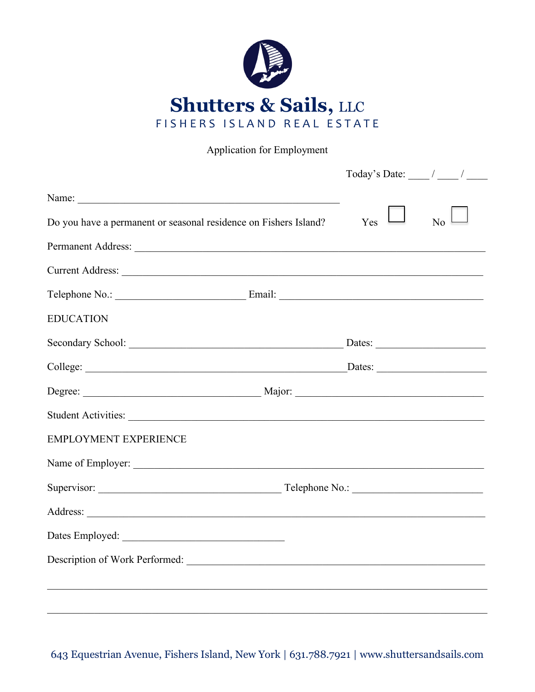

Application for Employment

|                                                                                                                                                                                                                                | Today's Date: $\frac{1}{\sqrt{2\pi}}$ |    |
|--------------------------------------------------------------------------------------------------------------------------------------------------------------------------------------------------------------------------------|---------------------------------------|----|
|                                                                                                                                                                                                                                |                                       |    |
| Do you have a permanent or seasonal residence on Fishers Island?                                                                                                                                                               | Yes                                   | No |
|                                                                                                                                                                                                                                |                                       |    |
|                                                                                                                                                                                                                                |                                       |    |
|                                                                                                                                                                                                                                |                                       |    |
| <b>EDUCATION</b>                                                                                                                                                                                                               |                                       |    |
|                                                                                                                                                                                                                                |                                       |    |
|                                                                                                                                                                                                                                |                                       |    |
| Degree: Major: Major: Major: Major: Major: Major: Major: Major: Major: Major: Major: Major: Major: Major: Major: Major: Major: Major: Major: Major: Major: Major: Major: Major: Major: Major: Major: Major: Major: Major: Majo |                                       |    |
|                                                                                                                                                                                                                                |                                       |    |
| <b>EMPLOYMENT EXPERIENCE</b>                                                                                                                                                                                                   |                                       |    |
|                                                                                                                                                                                                                                |                                       |    |
|                                                                                                                                                                                                                                |                                       |    |
|                                                                                                                                                                                                                                |                                       |    |
|                                                                                                                                                                                                                                |                                       |    |
|                                                                                                                                                                                                                                |                                       |    |
|                                                                                                                                                                                                                                |                                       |    |
|                                                                                                                                                                                                                                |                                       |    |

643 Equestrian Avenue, Fishers Island, New York | 631.788.7921 | www.shuttersandsails.com